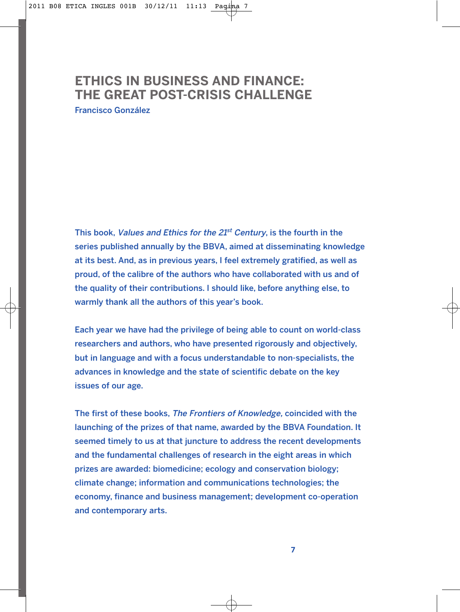# **ETHICS IN BUSINESS AND FINANCE: THE GREAT POST-CRISIS CHALLENGE**

Francisco González

This book, Values and Ethics for the  $21<sup>st</sup>$  Century, is the fourth in the series published annually by the BBVA, aimed at disseminating knowledge at its best. And, as in previous years, I feel extremely gratified, as well as proud, of the calibre of the authors who have collaborated with us and of the quality of their contributions. I should like, before anything else, to warmly thank all the authors of this year's book.

Each year we have had the privilege of being able to count on world-class researchers and authors, who have presented rigorously and objectively, but in language and with a focus understandable to non-specialists, the advances in knowledge and the state of scientific debate on the key issues of our age.

The first of these books, The Frontiers of Knowledge, coincided with the launching of the prizes of that name, awarded by the BBVA Foundation. It seemed timely to us at that juncture to address the recent developments and the fundamental challenges of research in the eight areas in which prizes are awarded: biomedicine; ecology and conservation biology; climate change; information and communications technologies; the economy, finance and business management; development co-operation and contemporary arts.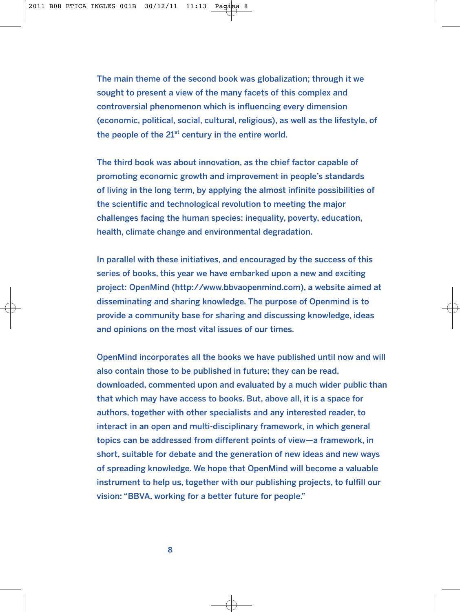The main theme of the second book was globalization; through it we sought to present a view of the many facets of this complex and controversial phenomenon which is influencing every dimension (economic, political, social, cultural, religious), as well as the lifestyle, of the people of the  $21^{st}$  century in the entire world.

The third book was about innovation, as the chief factor capable of promoting economic growth and improvement in people's standards of living in the long term, by applying the almost infinite possibilities of the scientific and technological revolution to meeting the major challenges facing the human species: inequality, poverty, education, health, climate change and environmental degradation.

In parallel with these initiatives, and encouraged by the success of this series of books, this year we have embarked upon a new and exciting project: OpenMind (http://www.bbvaopenmind.com), a website aimed at disseminating and sharing knowledge. The purpose of Openmind is to provide a community base for sharing and discussing knowledge, ideas and opinions on the most vital issues of our times.

OpenMind incorporates all the books we have published until now and will also contain those to be published in future; they can be read, downloaded, commented upon and evaluated by a much wider public than that which may have access to books. But, above all, it is a space for authors, together with other specialists and any interested reader, to interact in an open and multi-disciplinary framework, in which general topics can be addressed from different points of view—a framework, in short, suitable for debate and the generation of new ideas and new ways of spreading knowledge. We hope that OpenMind will become a valuable instrument to help us, together with our publishing projects, to fulfill our vision: "BBVA, working for a better future for people."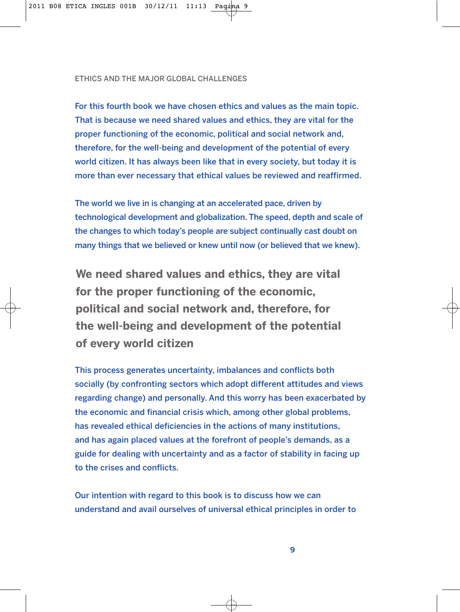## ETHICS AND THE MAJOR GLOBAL CHALLENGES

For this fourth book we have chosen ethics and values as the main topic. That is because we need shared values and ethics, they are vital for the proper functioning of the economic, political and social network and, therefore, for the well-being and development of the potential of every world citizen. It has always been like that in every society, but today it is more than ever necessary that ethical values be reviewed and reaffirmed.

The world we live in is changing at an accelerated pace, driven by technological development and globalization. The speed, depth and scale of the changes to which today's people are subject continually cast doubt on many things that we believed or knew until now (or believed that we knew).

**We need shared values and ethics, they are vital for the proper functioning of the economic, political and social network and, therefore, for the well-being and development of the potential of every world citizen**

This process generates uncertainty, imbalances and conflicts both socially (by confronting sectors which adopt different attitudes and views regarding change) and personally. And this worry has been exacerbated by the economic and financial crisis which, among other global problems, has revealed ethical deficiencies in the actions of many institutions, and has again placed values at the forefront of people's demands, as a guide for dealing with uncertainty and as a factor of stability in facing up to the crises and conflicts.

Our intention with regard to this book is to discuss how we can understand and avail ourselves of universal ethical principles in order to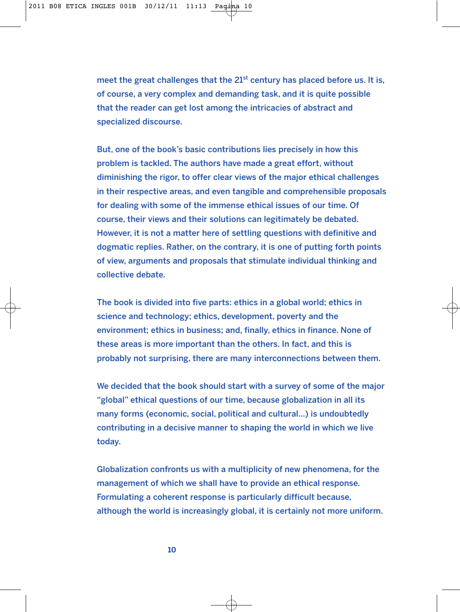meet the great challenges that the  $21<sup>st</sup>$  century has placed before us. It is, of course, a very complex and demanding task, and it is quite possible that the reader can get lost among the intricacies of abstract and specialized discourse.

But, one of the book's basic contributions lies precisely in how this problem is tackled. The authors have made a great effort, without diminishing the rigor, to offer clear views of the major ethical challenges in their respective areas, and even tangible and comprehensible proposals for dealing with some of the immense ethical issues of our time. Of course, their views and their solutions can legitimately be debated. However, it is not a matter here of settling questions with definitive and dogmatic replies. Rather, on the contrary, it is one of putting forth points of view, arguments and proposals that stimulate individual thinking and collective debate.

The book is divided into five parts: ethics in a global world; ethics in science and technology; ethics, development, poverty and the environment; ethics in business; and, finally, ethics in finance. None of these areas is more important than the others. In fact, and this is probably not surprising, there are many interconnections between them.

We decided that the book should start with a survey of some of the major "global" ethical questions of our time, because globalization in all its many forms (economic, social, political and cultural…) is undoubtedly contributing in a decisive manner to shaping the world in which we live today.

Globalization confronts us with a multiplicity of new phenomena, for the management of which we shall have to provide an ethical response. Formulating a coherent response is particularly difficult because, although the world is increasingly global, it is certainly not more uniform.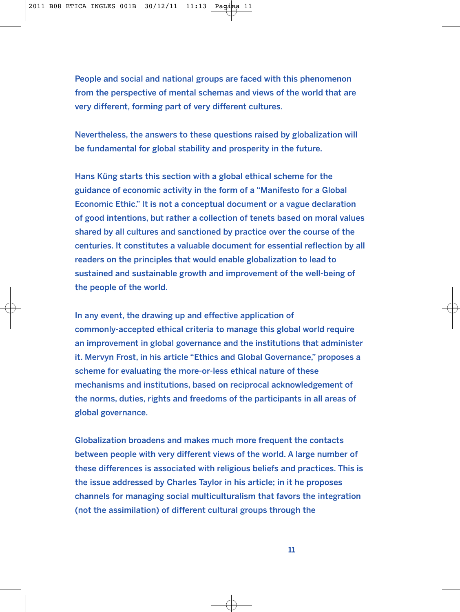People and social and national groups are faced with this phenomenon from the perspective of mental schemas and views of the world that are very different, forming part of very different cultures.

Nevertheless, the answers to these questions raised by globalization will be fundamental for global stability and prosperity in the future.

Hans Küng starts this section with a global ethical scheme for the guidance of economic activity in the form of a "Manifesto for a Global Economic Ethic." It is not a conceptual document or a vague declaration of good intentions, but rather a collection of tenets based on moral values shared by all cultures and sanctioned by practice over the course of the centuries. It constitutes a valuable document for essential reflection by all readers on the principles that would enable globalization to lead to sustained and sustainable growth and improvement of the well-being of the people of the world.

In any event, the drawing up and effective application of commonly-accepted ethical criteria to manage this global world require an improvement in global governance and the institutions that administer it. Mervyn Frost, in his article "Ethics and Global Governance," proposes a scheme for evaluating the more-or-less ethical nature of these mechanisms and institutions, based on reciprocal acknowledgement of the norms, duties, rights and freedoms of the participants in all areas of global governance.

Globalization broadens and makes much more frequent the contacts between people with very different views of the world. A large number of these differences is associated with religious beliefs and practices. This is the issue addressed by Charles Taylor in his article; in it he proposes channels for managing social multiculturalism that favors the integration (not the assimilation) of different cultural groups through the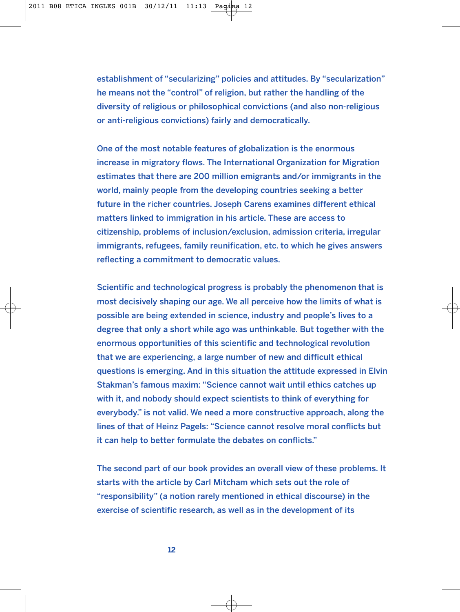establishment of "secularizing" policies and attitudes. By "secularization" he means not the "control" of religion, but rather the handling of the diversity of religious or philosophical convictions (and also non-religious or anti-religious convictions) fairly and democratically.

One of the most notable features of globalization is the enormous increase in migratory flows. The International Organization for Migration estimates that there are 200 million emigrants and/or immigrants in the world, mainly people from the developing countries seeking a better future in the richer countries. Joseph Carens examines different ethical matters linked to immigration in his article. These are access to citizenship, problems of inclusion/exclusion, admission criteria, irregular immigrants, refugees, family reunification, etc. to which he gives answers reflecting a commitment to democratic values.

Scientific and technological progress is probably the phenomenon that is most decisively shaping our age. We all perceive how the limits of what is possible are being extended in science, industry and people's lives to a degree that only a short while ago was unthinkable. But together with the enormous opportunities of this scientific and technological revolution that we are experiencing, a large number of new and difficult ethical questions is emerging. And in this situation the attitude expressed in Elvin Stakman's famous maxim: "Science cannot wait until ethics catches up with it, and nobody should expect scientists to think of everything for everybody." is not valid. We need a more constructive approach, along the lines of that of Heinz Pagels: "Science cannot resolve moral conflicts but it can help to better formulate the debates on conflicts."

The second part of our book provides an overall view of these problems. It starts with the article by Carl Mitcham which sets out the role of "responsibility" (a notion rarely mentioned in ethical discourse) in the exercise of scientific research, as well as in the development of its

**12**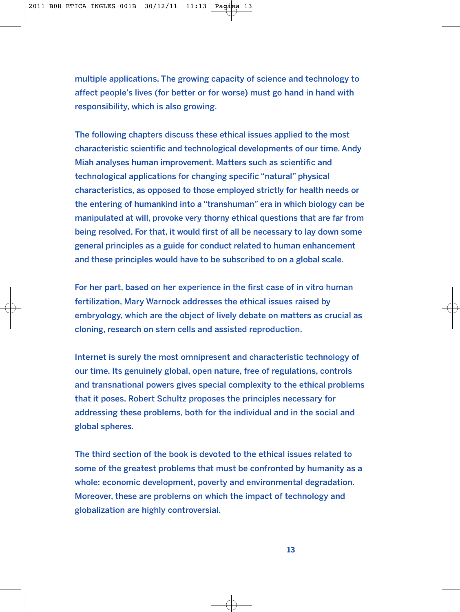multiple applications. The growing capacity of science and technology to affect people's lives (for better or for worse) must go hand in hand with responsibility, which is also growing.

The following chapters discuss these ethical issues applied to the most characteristic scientific and technological developments of our time. Andy Miah analyses human improvement. Matters such as scientific and technological applications for changing specific "natural" physical characteristics, as opposed to those employed strictly for health needs or the entering of humankind into a "transhuman" era in which biology can be manipulated at will, provoke very thorny ethical questions that are far from being resolved. For that, it would first of all be necessary to lay down some general principles as a guide for conduct related to human enhancement and these principles would have to be subscribed to on a global scale.

For her part, based on her experience in the first case of in vitro human fertilization, Mary Warnock addresses the ethical issues raised by embryology, which are the object of lively debate on matters as crucial as cloning, research on stem cells and assisted reproduction.

Internet is surely the most omnipresent and characteristic technology of our time. Its genuinely global, open nature, free of regulations, controls and transnational powers gives special complexity to the ethical problems that it poses. Robert Schultz proposes the principles necessary for addressing these problems, both for the individual and in the social and global spheres.

The third section of the book is devoted to the ethical issues related to some of the greatest problems that must be confronted by humanity as a whole: economic development, poverty and environmental degradation. Moreover, these are problems on which the impact of technology and globalization are highly controversial.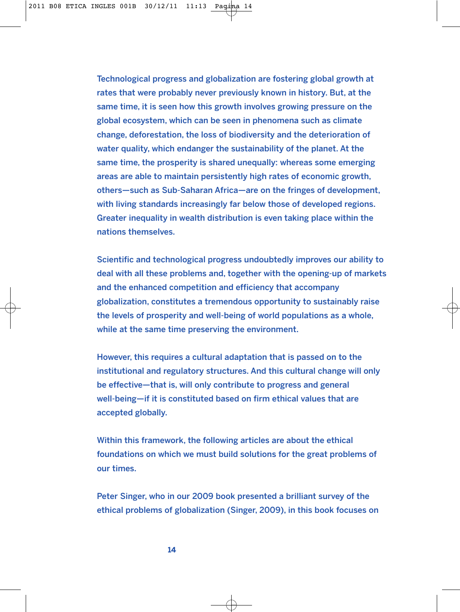Technological progress and globalization are fostering global growth at rates that were probably never previously known in history. But, at the same time, it is seen how this growth involves growing pressure on the global ecosystem, which can be seen in phenomena such as climate change, deforestation, the loss of biodiversity and the deterioration of water quality, which endanger the sustainability of the planet. At the same time, the prosperity is shared unequally: whereas some emerging areas are able to maintain persistently high rates of economic growth, others—such as Sub-Saharan Africa—are on the fringes of development, with living standards increasingly far below those of developed regions. Greater inequality in wealth distribution is even taking place within the nations themselves.

Scientific and technological progress undoubtedly improves our ability to deal with all these problems and, together with the opening-up of markets and the enhanced competition and efficiency that accompany globalization, constitutes a tremendous opportunity to sustainably raise the levels of prosperity and well-being of world populations as a whole, while at the same time preserving the environment.

However, this requires a cultural adaptation that is passed on to the institutional and regulatory structures. And this cultural change will only be effective—that is, will only contribute to progress and general well-being—if it is constituted based on firm ethical values that are accepted globally.

Within this framework, the following articles are about the ethical foundations on which we must build solutions for the great problems of our times.

Peter Singer, who in our 2009 book presented a brilliant survey of the ethical problems of globalization (Singer, 2009), in this book focuses on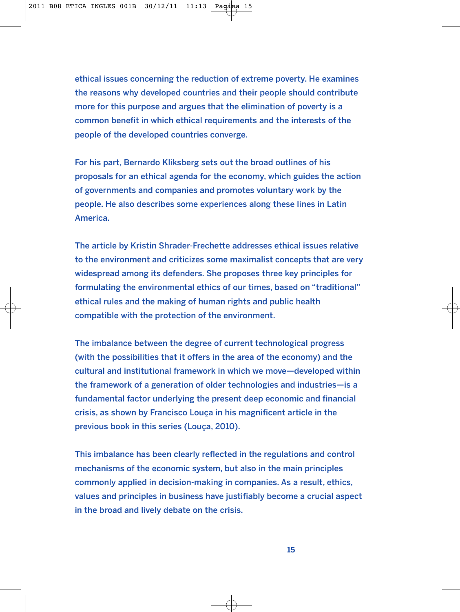ethical issues concerning the reduction of extreme poverty. He examines the reasons why developed countries and their people should contribute more for this purpose and argues that the elimination of poverty is a common benefit in which ethical requirements and the interests of the people of the developed countries converge.

For his part, Bernardo Kliksberg sets out the broad outlines of his proposals for an ethical agenda for the economy, which guides the action of governments and companies and promotes voluntary work by the people. He also describes some experiences along these lines in Latin America.

The article by Kristin Shrader-Frechette addresses ethical issues relative to the environment and criticizes some maximalist concepts that are very widespread among its defenders. She proposes three key principles for formulating the environmental ethics of our times, based on "traditional" ethical rules and the making of human rights and public health compatible with the protection of the environment.

The imbalance between the degree of current technological progress (with the possibilities that it offers in the area of the economy) and the cultural and institutional framework in which we move—developed within the framework of a generation of older technologies and industries—is a fundamental factor underlying the present deep economic and financial crisis, as shown by Francisco Louça in his magnificent article in the previous book in this series (Louça, 2010).

This imbalance has been clearly reflected in the regulations and control mechanisms of the economic system, but also in the main principles commonly applied in decision-making in companies. As a result, ethics, values and principles in business have justifiably become a crucial aspect in the broad and lively debate on the crisis.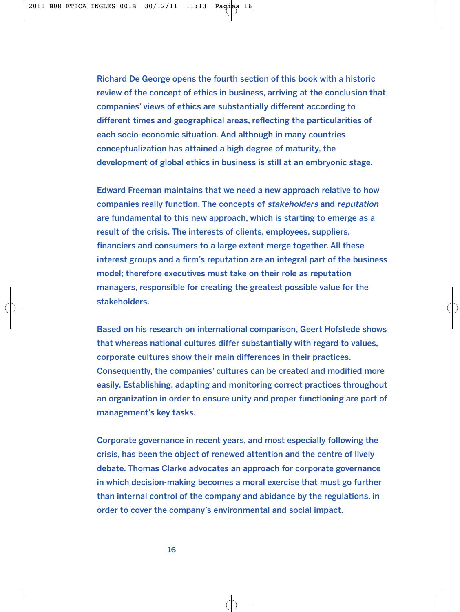Richard De George opens the fourth section of this book with a historic review of the concept of ethics in business, arriving at the conclusion that companies' views of ethics are substantially different according to different times and geographical areas, reflecting the particularities of each socio-economic situation. And although in many countries conceptualization has attained a high degree of maturity, the development of global ethics in business is still at an embryonic stage.

Edward Freeman maintains that we need a new approach relative to how companies really function. The concepts of stakeholders and reputation are fundamental to this new approach, which is starting to emerge as a result of the crisis. The interests of clients, employees, suppliers, financiers and consumers to a large extent merge together. All these interest groups and a firm's reputation are an integral part of the business model; therefore executives must take on their role as reputation managers, responsible for creating the greatest possible value for the stakeholders.

Based on his research on international comparison, Geert Hofstede shows that whereas national cultures differ substantially with regard to values, corporate cultures show their main differences in their practices. Consequently, the companies' cultures can be created and modified more easily. Establishing, adapting and monitoring correct practices throughout an organization in order to ensure unity and proper functioning are part of management's key tasks.

Corporate governance in recent years, and most especially following the crisis, has been the object of renewed attention and the centre of lively debate. Thomas Clarke advocates an approach for corporate governance in which decision-making becomes a moral exercise that must go further than internal control of the company and abidance by the regulations, in order to cover the company's environmental and social impact.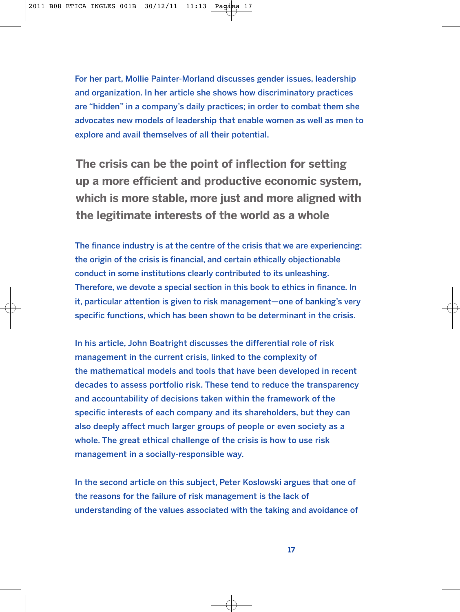For her part, Mollie Painter-Morland discusses gender issues, leadership and organization. In her article she shows how discriminatory practices are "hidden" in a company's daily practices; in order to combat them she advocates new models of leadership that enable women as well as men to explore and avail themselves of all their potential.

**The crisis can be the point of inflection for setting up a more efficient and productive economic system, which is more stable, more just and more aligned with the legitimate interests of the world as a whole**

The finance industry is at the centre of the crisis that we are experiencing: the origin of the crisis is financial, and certain ethically objectionable conduct in some institutions clearly contributed to its unleashing. Therefore, we devote a special section in this book to ethics in finance. In it, particular attention is given to risk management—one of banking's very specific functions, which has been shown to be determinant in the crisis.

In his article, John Boatright discusses the differential role of risk management in the current crisis, linked to the complexity of the mathematical models and tools that have been developed in recent decades to assess portfolio risk. These tend to reduce the transparency and accountability of decisions taken within the framework of the specific interests of each company and its shareholders, but they can also deeply affect much larger groups of people or even society as a whole. The great ethical challenge of the crisis is how to use risk management in a socially-responsible way.

In the second article on this subject, Peter Koslowski argues that one of the reasons for the failure of risk management is the lack of understanding of the values associated with the taking and avoidance of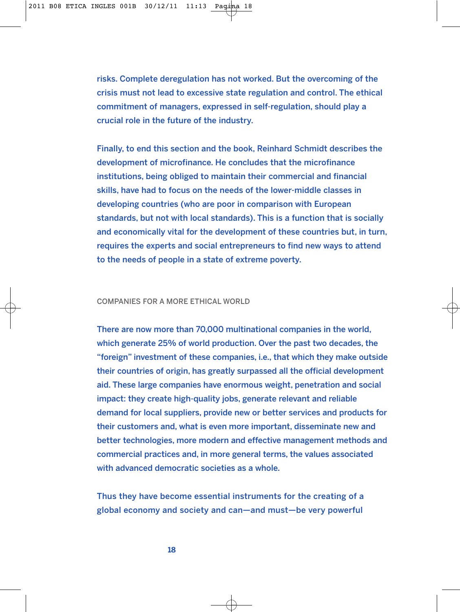risks. Complete deregulation has not worked. But the overcoming of the crisis must not lead to excessive state regulation and control. The ethical commitment of managers, expressed in self-regulation, should play a crucial role in the future of the industry.

Finally, to end this section and the book, Reinhard Schmidt describes the development of microfinance. He concludes that the microfinance institutions, being obliged to maintain their commercial and financial skills, have had to focus on the needs of the lower-middle classes in developing countries (who are poor in comparison with European standards, but not with local standards). This is a function that is socially and economically vital for the development of these countries but, in turn, requires the experts and social entrepreneurs to find new ways to attend to the needs of people in a state of extreme poverty.

## COMPANIES FOR A MORE ETHICAL WORLD

There are now more than 70,000 multinational companies in the world, which generate 25% of world production. Over the past two decades, the "foreign" investment of these companies, i.e., that which they make outside their countries of origin, has greatly surpassed all the official development aid. These large companies have enormous weight, penetration and social impact: they create high-quality jobs, generate relevant and reliable demand for local suppliers, provide new or better services and products for their customers and, what is even more important, disseminate new and better technologies, more modern and effective management methods and commercial practices and, in more general terms, the values associated with advanced democratic societies as a whole.

Thus they have become essential instruments for the creating of a global economy and society and can—and must—be very powerful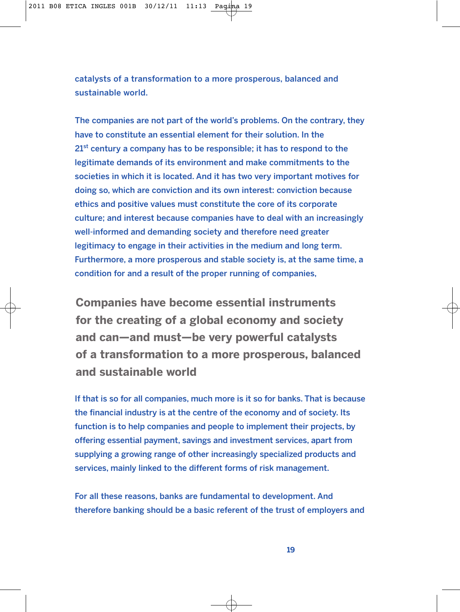catalysts of a transformation to a more prosperous, balanced and sustainable world.

The companies are not part of the world's problems. On the contrary, they have to constitute an essential element for their solution. In the  $21<sup>st</sup>$  century a company has to be responsible; it has to respond to the legitimate demands of its environment and make commitments to the societies in which it is located. And it has two very important motives for doing so, which are conviction and its own interest: conviction because ethics and positive values must constitute the core of its corporate culture; and interest because companies have to deal with an increasingly well-informed and demanding society and therefore need greater legitimacy to engage in their activities in the medium and long term. Furthermore, a more prosperous and stable society is, at the same time, a condition for and a result of the proper running of companies,

**Companies have become essential instruments for the creating of a global economy and society and can—and must—be very powerful catalysts of a transformation to a more prosperous, balanced and sustainable world**

If that is so for all companies, much more is it so for banks. That is because the financial industry is at the centre of the economy and of society. Its function is to help companies and people to implement their projects, by offering essential payment, savings and investment services, apart from supplying a growing range of other increasingly specialized products and services, mainly linked to the different forms of risk management.

For all these reasons, banks are fundamental to development. And therefore banking should be a basic referent of the trust of employers and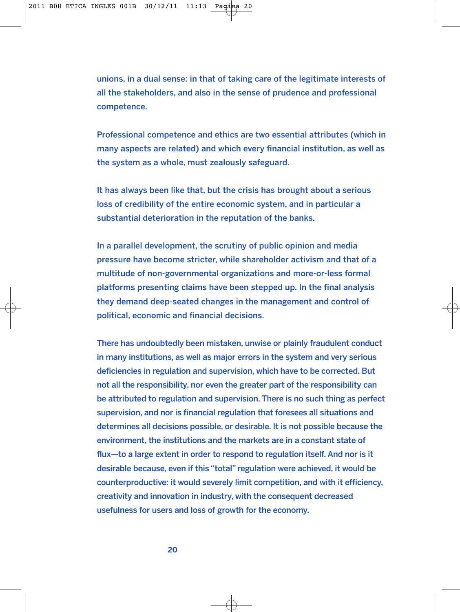unions, in a dual sense: in that of taking care of the legitimate interests of all the stakeholders, and also in the sense of prudence and professional competence.

Professional competence and ethics are two essential attributes (which in many aspects are related) and which every financial institution, as well as the system as a whole, must zealously safeguard.

It has always been like that, but the crisis has brought about a serious loss of credibility of the entire economic system, and in particular a substantial deterioration in the reputation of the banks.

In a parallel development, the scrutiny of public opinion and media pressure have become stricter, while shareholder activism and that of a multitude of non-governmental organizations and more-or-less formal platforms presenting claims have been stepped up. In the final analysis they demand deep-seated changes in the management and control of political, economic and financial decisions.

There has undoubtedly been mistaken, unwise or plainly fraudulent conduct in many institutions, as well as major errors in the system and very serious deficiencies in regulation and supervision, which have to be corrected. But not all the responsibility, nor even the greater part of the responsibility can be attributed to regulation and supervision. There is no such thing as perfect supervision, and nor is financial regulation that foresees all situations and determines all decisions possible, or desirable. It is not possible because the environment, the institutions and the markets are in a constant state of flux—to a large extent in order to respond to regulation itself. And nor is it desirable because, even if this "total" regulation were achieved, it would be counterproductive: it would severely limit competition, and with it efficiency, creativity and innovation in industry, with the consequent decreased usefulness for users and loss of growth for the economy.

**20**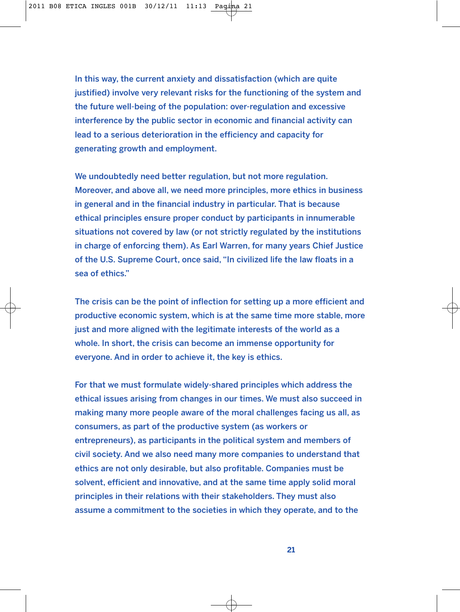In this way, the current anxiety and dissatisfaction (which are quite justified) involve very relevant risks for the functioning of the system and the future well-being of the population: over-regulation and excessive interference by the public sector in economic and financial activity can lead to a serious deterioration in the efficiency and capacity for generating growth and employment.

We undoubtedly need better regulation, but not more regulation. Moreover, and above all, we need more principles, more ethics in business in general and in the financial industry in particular. That is because ethical principles ensure proper conduct by participants in innumerable situations not covered by law (or not strictly regulated by the institutions in charge of enforcing them). As Earl Warren, for many years Chief Justice of the U.S. Supreme Court, once said, "In civilized life the law floats in a sea of ethics."

The crisis can be the point of inflection for setting up a more efficient and productive economic system, which is at the same time more stable, more just and more aligned with the legitimate interests of the world as a whole. In short, the crisis can become an immense opportunity for everyone. And in order to achieve it, the key is ethics.

For that we must formulate widely-shared principles which address the ethical issues arising from changes in our times. We must also succeed in making many more people aware of the moral challenges facing us all, as consumers, as part of the productive system (as workers or entrepreneurs), as participants in the political system and members of civil society. And we also need many more companies to understand that ethics are not only desirable, but also profitable. Companies must be solvent, efficient and innovative, and at the same time apply solid moral principles in their relations with their stakeholders. They must also assume a commitment to the societies in which they operate, and to the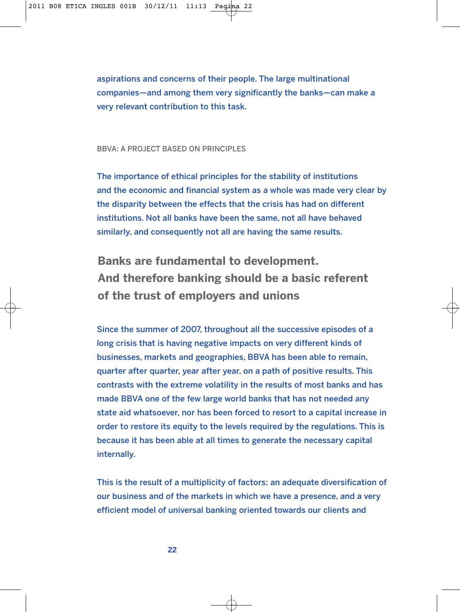aspirations and concerns of their people. The large multinational companies—and among them very significantly the banks—can make a very relevant contribution to this task.

#### BBVA: A PROJECT BASED ON PRINCIPLES

The importance of ethical principles for the stability of institutions and the economic and financial system as a whole was made very clear by the disparity between the effects that the crisis has had on different institutions. Not all banks have been the same, not all have behaved similarly, and consequently not all are having the same results.

**Banks are fundamental to development. And therefore banking should be a basic referent of the trust of employers and unions**

Since the summer of 2007, throughout all the successive episodes of a long crisis that is having negative impacts on very different kinds of businesses, markets and geographies, BBVA has been able to remain, quarter after quarter, year after year, on a path of positive results. This contrasts with the extreme volatility in the results of most banks and has made BBVA one of the few large world banks that has not needed any state aid whatsoever, nor has been forced to resort to a capital increase in order to restore its equity to the levels required by the regulations. This is because it has been able at all times to generate the necessary capital internally.

This is the result of a multiplicity of factors: an adequate diversification of our business and of the markets in which we have a presence, and a very efficient model of universal banking oriented towards our clients and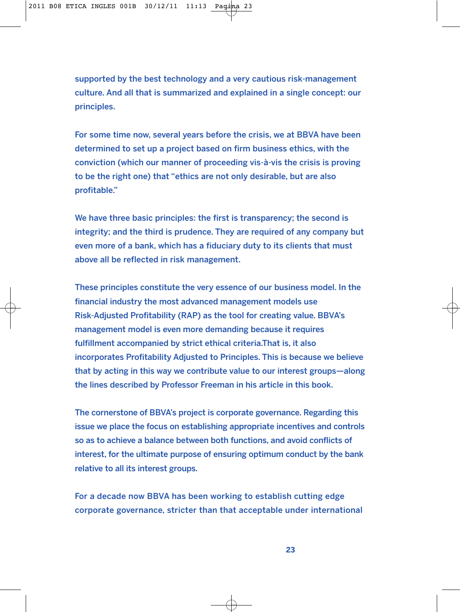supported by the best technology and a very cautious risk-management culture. And all that is summarized and explained in a single concept: our principles.

For some time now, several years before the crisis, we at BBVA have been determined to set up a project based on firm business ethics, with the conviction (which our manner of proceeding vis-à-vis the crisis is proving to be the right one) that "ethics are not only desirable, but are also profitable."

We have three basic principles: the first is transparency; the second is integrity; and the third is prudence. They are required of any company but even more of a bank, which has a fiduciary duty to its clients that must above all be reflected in risk management.

These principles constitute the very essence of our business model. In the financial industry the most advanced management models use Risk-Adjusted Profitability (RAP) as the tool for creating value. BBVA's management model is even more demanding because it requires fulfillment accompanied by strict ethical criteria.That is, it also incorporates Profitability Adjusted to Principles. This is because we believe that by acting in this way we contribute value to our interest groups—along the lines described by Professor Freeman in his article in this book.

The cornerstone of BBVA's project is corporate governance. Regarding this issue we place the focus on establishing appropriate incentives and controls so as to achieve a balance between both functions, and avoid conflicts of interest, for the ultimate purpose of ensuring optimum conduct by the bank relative to all its interest groups.

For a decade now BBVA has been working to establish cutting edge corporate governance, stricter than that acceptable under international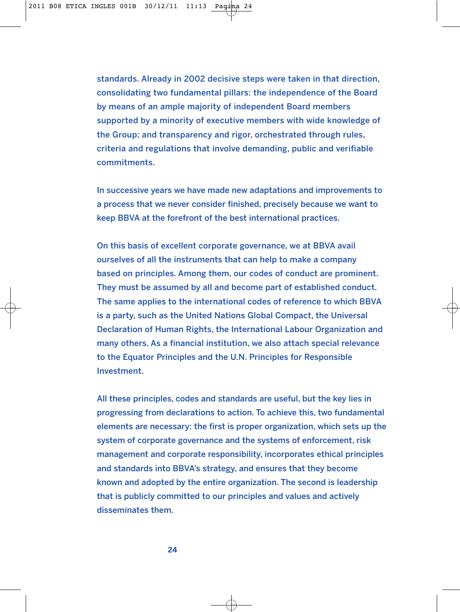standards. Already in 2002 decisive steps were taken in that direction, consolidating two fundamental pillars: the independence of the Board by means of an ample majority of independent Board members supported by a minority of executive members with wide knowledge of the Group; and transparency and rigor, orchestrated through rules, criteria and regulations that involve demanding, public and verifiable commitments.

In successive years we have made new adaptations and improvements to a process that we never consider finished, precisely because we want to keep BBVA at the forefront of the best international practices.

On this basis of excellent corporate governance, we at BBVA avail ourselves of all the instruments that can help to make a company based on principles. Among them, our codes of conduct are prominent. They must be assumed by all and become part of established conduct. The same applies to the international codes of reference to which BBVA is a party, such as the United Nations Global Compact, the Universal Declaration of Human Rights, the International Labour Organization and many others. As a financial institution, we also attach special relevance to the Equator Principles and the U.N. Principles for Responsible Investment.

All these principles, codes and standards are useful, but the key lies in progressing from declarations to action. To achieve this, two fundamental elements are necessary: the first is proper organization, which sets up the system of corporate governance and the systems of enforcement, risk management and corporate responsibility, incorporates ethical principles and standards into BBVA's strategy, and ensures that they become known and adopted by the entire organization. The second is leadership that is publicly committed to our principles and values and actively disseminates them.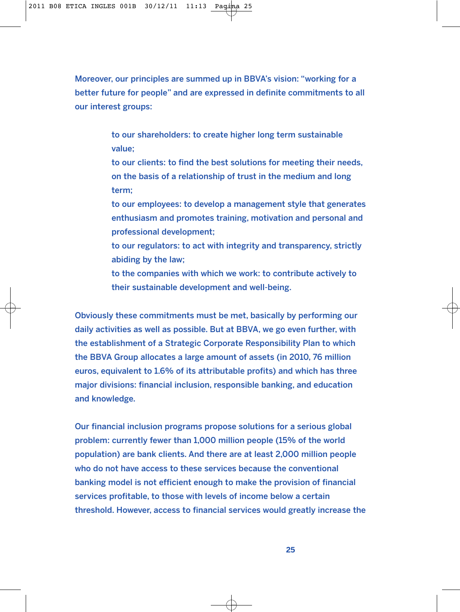Moreover, our principles are summed up in BBVA's vision: "working for a better future for people" and are expressed in definite commitments to all our interest groups:

> to our shareholders: to create higher long term sustainable value;

to our clients: to find the best solutions for meeting their needs, on the basis of a relationship of trust in the medium and long term;

to our employees: to develop a management style that generates enthusiasm and promotes training, motivation and personal and professional development;

to our regulators: to act with integrity and transparency, strictly abiding by the law;

to the companies with which we work: to contribute actively to their sustainable development and well-being.

Obviously these commitments must be met, basically by performing our daily activities as well as possible. But at BBVA, we go even further, with the establishment of a Strategic Corporate Responsibility Plan to which the BBVA Group allocates a large amount of assets (in 2010, 76 million euros, equivalent to 1.6% of its attributable profits) and which has three major divisions: financial inclusion, responsible banking, and education and knowledge.

Our financial inclusion programs propose solutions for a serious global problem: currently fewer than 1,000 million people (15% of the world population) are bank clients. And there are at least 2,000 million people who do not have access to these services because the conventional banking model is not efficient enough to make the provision of financial services profitable, to those with levels of income below a certain threshold. However, access to financial services would greatly increase the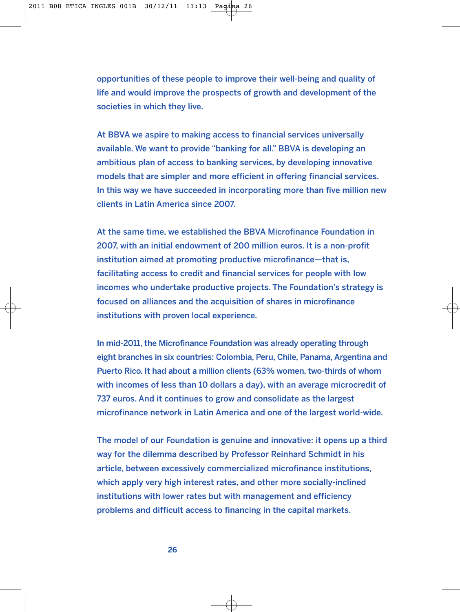opportunities of these people to improve their well-being and quality of life and would improve the prospects of growth and development of the societies in which they live.

At BBVA we aspire to making access to financial services universally available. We want to provide "banking for all." BBVA is developing an ambitious plan of access to banking services, by developing innovative models that are simpler and more efficient in offering financial services. In this way we have succeeded in incorporating more than five million new clients in Latin America since 2007.

At the same time, we established the BBVA Microfinance Foundation in 2007, with an initial endowment of 200 million euros. It is a non-profit institution aimed at promoting productive microfinance—that is, facilitating access to credit and financial services for people with low incomes who undertake productive projects. The Foundation's strategy is focused on alliances and the acquisition of shares in microfinance institutions with proven local experience.

In mid-2011, the Microfinance Foundation was already operating through eight branches in six countries: Colombia, Peru, Chile, Panama, Argentina and Puerto Rico. It had about a million clients (63% women, two-thirds of whom with incomes of less than 10 dollars a day), with an average microcredit of 737 euros. And it continues to grow and consolidate as the largest microfinance network in Latin America and one of the largest world-wide.

The model of our Foundation is genuine and innovative: it opens up a third way for the dilemma described by Professor Reinhard Schmidt in his article, between excessively commercialized microfinance institutions, which apply very high interest rates, and other more socially-inclined institutions with lower rates but with management and efficiency problems and difficult access to financing in the capital markets.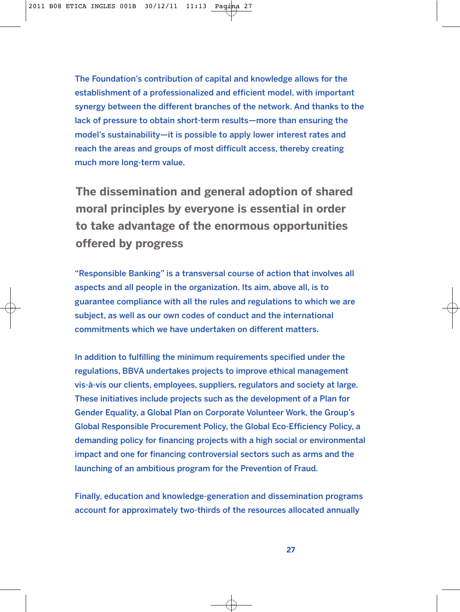The Foundation's contribution of capital and knowledge allows for the establishment of a professionalized and efficient model, with important synergy between the different branches of the network. And thanks to the lack of pressure to obtain short-term results—more than ensuring the model's sustainability—it is possible to apply lower interest rates and reach the areas and groups of most difficult access, thereby creating much more long-term value.

**The dissemination and general adoption of shared moral principles by everyone is essential in order to take advantage of the enormous opportunities offered by progress**

"Responsible Banking" is a transversal course of action that involves all aspects and all people in the organization. Its aim, above all, is to guarantee compliance with all the rules and regulations to which we are subject, as well as our own codes of conduct and the international commitments which we have undertaken on different matters.

In addition to fulfilling the minimum requirements specified under the regulations, BBVA undertakes projects to improve ethical management vis-à-vis our clients, employees, suppliers, regulators and society at large. These initiatives include projects such as the development of a Plan for Gender Equality, a Global Plan on Corporate Volunteer Work, the Group's Global Responsible Procurement Policy, the Global Eco-Efficiency Policy, a demanding policy for financing projects with a high social or environmental impact and one for financing controversial sectors such as arms and the launching of an ambitious program for the Prevention of Fraud.

Finally, education and knowledge-generation and dissemination programs account for approximately two-thirds of the resources allocated annually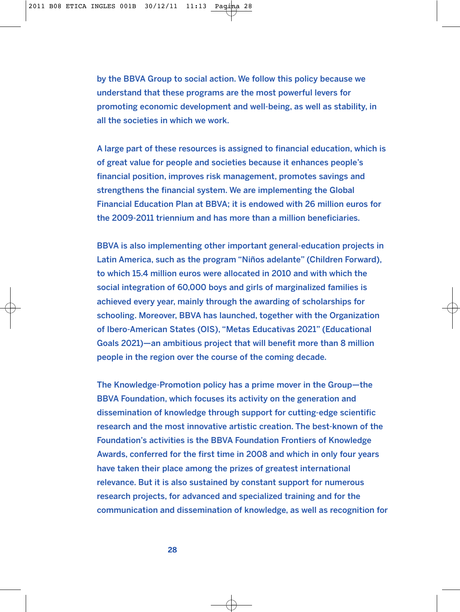by the BBVA Group to social action. We follow this policy because we understand that these programs are the most powerful levers for promoting economic development and well-being, as well as stability, in all the societies in which we work.

A large part of these resources is assigned to financial education, which is of great value for people and societies because it enhances people's financial position, improves risk management, promotes savings and strengthens the financial system. We are implementing the Global Financial Education Plan at BBVA; it is endowed with 26 million euros for the 2009-2011 triennium and has more than a million beneficiaries.

BBVA is also implementing other important general-education projects in Latin America, such as the program "Niños adelante" (Children Forward), to which 15.4 million euros were allocated in 2010 and with which the social integration of 60,000 boys and girls of marginalized families is achieved every year, mainly through the awarding of scholarships for schooling. Moreover, BBVA has launched, together with the Organization of Ibero-American States (OIS), "Metas Educativas 2021" (Educational Goals 2021)—an ambitious project that will benefit more than 8 million people in the region over the course of the coming decade.

The Knowledge-Promotion policy has a prime mover in the Group—the BBVA Foundation, which focuses its activity on the generation and dissemination of knowledge through support for cutting-edge scientific research and the most innovative artistic creation. The best-known of the Foundation's activities is the BBVA Foundation Frontiers of Knowledge Awards, conferred for the first time in 2008 and which in only four years have taken their place among the prizes of greatest international relevance. But it is also sustained by constant support for numerous research projects, for advanced and specialized training and for the communication and dissemination of knowledge, as well as recognition for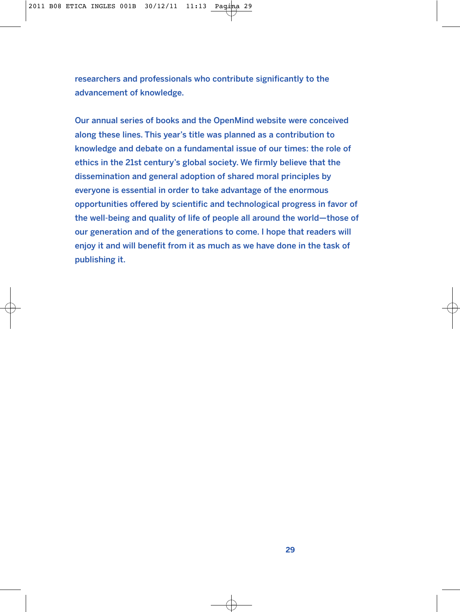researchers and professionals who contribute significantly to the advancement of knowledge.

Our annual series of books and the OpenMind website were conceived along these lines. This year's title was planned as a contribution to knowledge and debate on a fundamental issue of our times: the role of ethics in the 21st century's global society. We firmly believe that the dissemination and general adoption of shared moral principles by everyone is essential in order to take advantage of the enormous opportunities offered by scientific and technological progress in favor of the well-being and quality of life of people all around the world—those of our generation and of the generations to come. I hope that readers will enjoy it and will benefit from it as much as we have done in the task of publishing it.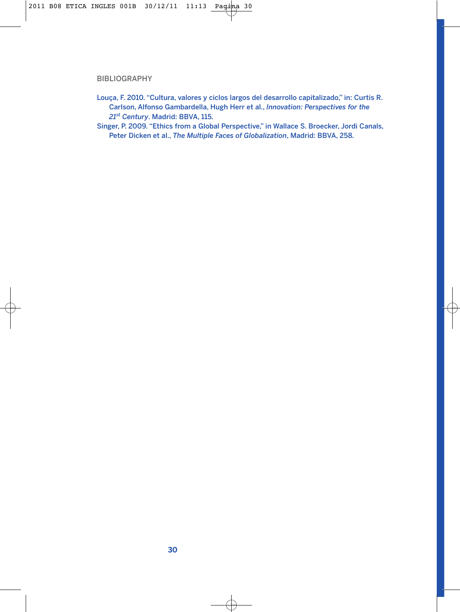# BIBLIOGRAPHY

- Louça, F. 2010. "Cultura, valores y ciclos largos del desarrollo capitalizado," in: Curtis R. Carlson, Alfonso Gambardella, Hugh Herr et al., *Innovation: Perspectives for the 21st Century*. Madrid: BBVA, 115.
- Singer, P. 2009. "Ethics from a Global Perspective," in Wallace S. Broecker, Jordi Canals, Peter Dicken et al., *The Multiple Faces of Globalization*, Madrid: BBVA, 258.